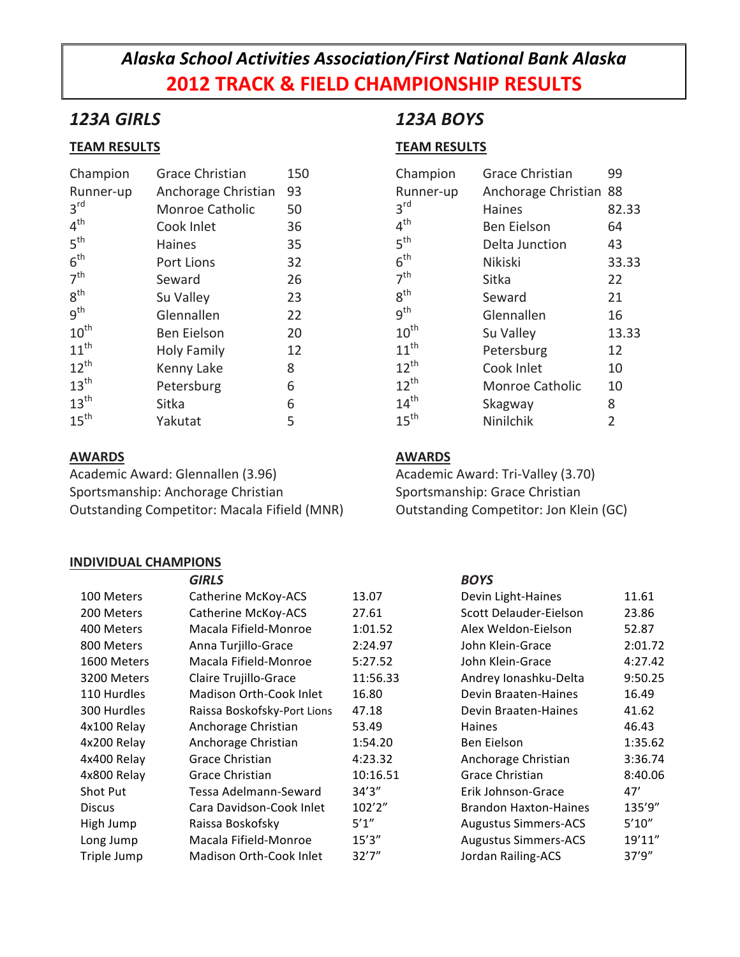# *Alaska School Activities Association/First National Bank Alaska* **2012 TRACK & FIELD CHAMPIONSHIP RESULTS**

## *123A GIRLS*

### **TEAM RESULTS**

| Champion         | <b>Grace Christian</b> | 150 |
|------------------|------------------------|-----|
| Runner-up        | Anchorage Christian    | 93  |
| 3 <sup>rd</sup>  | Monroe Catholic        | 50  |
| $4^{\text{th}}$  | Cook Inlet             | 36  |
| 5 <sup>th</sup>  | Haines                 | 35  |
| 6 <sup>th</sup>  | Port Lions             | 32  |
| 7 <sup>th</sup>  | Seward                 | 26  |
| 8 <sup>th</sup>  | Su Valley              | 23  |
| 9 <sup>th</sup>  | Glennallen             | 22  |
| $10^{\text{th}}$ | Ben Eielson            | 20  |
| $11^{\text{th}}$ | <b>Holy Family</b>     | 12  |
| $12^{th}$        | Kenny Lake             | 8   |
| $13^{\text{th}}$ | Petersburg             | 6   |
| 13 <sup>th</sup> | Sitka                  | 6   |
| $15^{\text{th}}$ | Yakutat                | 5   |

### **AWARDS**

Academic Award: Glennallen (3.96) Sportsmanship: Anchorage Christian Outstanding Competitor: Macala Fifield (MNR)

### **INDIVIDUAL CHAMPIONS**

# *123A BOYS*

## **TEAM RESULTS**

| Champion         | <b>Grace Christian</b> | 99             |
|------------------|------------------------|----------------|
| Runner-up        | Anchorage Christian    | 88             |
| 3 <sup>rd</sup>  | <b>Haines</b>          | 82.33          |
| 4 <sup>th</sup>  | Ben Eielson            | 64             |
| 5 <sup>th</sup>  | Delta Junction         | 43             |
| 6 <sup>th</sup>  | <b>Nikiski</b>         | 33.33          |
| 7 <sup>th</sup>  | Sitka                  | 22             |
| $8^{\text{th}}$  | Seward                 | 21             |
| 9 <sup>th</sup>  | Glennallen             | 16             |
| $10^{\text{th}}$ | Su Valley              | 13.33          |
| $11^{th}$        | Petersburg             | 12             |
| $12^{th}$        | Cook Inlet             | 10             |
| $12^{th}$        | <b>Monroe Catholic</b> | 10             |
| 14 <sup>th</sup> | Skagway                | 8              |
| 15 <sup>th</sup> | Ninilchik              | $\overline{2}$ |

### **AWARDS**

Academic Award: Tri-Valley (3.70) Sportsmanship: Grace Christian Outstanding Competitor: Jon Klein (GC)

|                 | <b>GIRLS</b>                   |          | <b>BOYS</b>                  |         |
|-----------------|--------------------------------|----------|------------------------------|---------|
| 100 Meters      | Catherine McKoy-ACS            | 13.07    | Devin Light-Haines           | 11.61   |
| 200 Meters      | Catherine McKoy-ACS            | 27.61    | Scott Delauder-Eielson       | 23.86   |
| 400 Meters      | Macala Fifield-Monroe          | 1:01.52  | Alex Weldon-Eielson          | 52.87   |
| 800 Meters      | Anna Turjillo-Grace            | 2:24.97  | John Klein-Grace             | 2:01.72 |
| 1600 Meters     | Macala Fifield-Monroe          | 5:27.52  | John Klein-Grace             | 4:27.42 |
| 3200 Meters     | Claire Trujillo-Grace          | 11:56.33 | Andrey Ionashku-Delta        | 9:50.25 |
| 110 Hurdles     | Madison Orth-Cook Inlet        | 16.80    | Devin Braaten-Haines         | 16.49   |
| 300 Hurdles     | Raissa Boskofsky-Port Lions    | 47.18    | Devin Braaten-Haines         | 41.62   |
| 4x100 Relay     | Anchorage Christian            | 53.49    | <b>Haines</b>                | 46.43   |
| 4x200 Relay     | Anchorage Christian            | 1:54.20  | Ben Eielson                  | 1:35.62 |
| 4x400 Relay     | Grace Christian                | 4:23.32  | Anchorage Christian          | 3:36.74 |
| 4x800 Relay     | Grace Christian                | 10:16.51 | Grace Christian              | 8:40.06 |
| <b>Shot Put</b> | Tessa Adelmann-Seward          | 34'3''   | Erik Johnson-Grace           | 47'     |
| <b>Discus</b>   | Cara Davidson-Cook Inlet       | 102'2''  | <b>Brandon Haxton-Haines</b> | 135'9"  |
| High Jump       | Raissa Boskofsky               | 5'1''    | <b>Augustus Simmers-ACS</b>  | 5'10''  |
| Long Jump       | Macala Fifield-Monroe          | 15'3''   | <b>Augustus Simmers-ACS</b>  | 19'11"  |
| Triple Jump     | <b>Madison Orth-Cook Inlet</b> | 32'7''   | Jordan Railing-ACS           | 37'9''  |